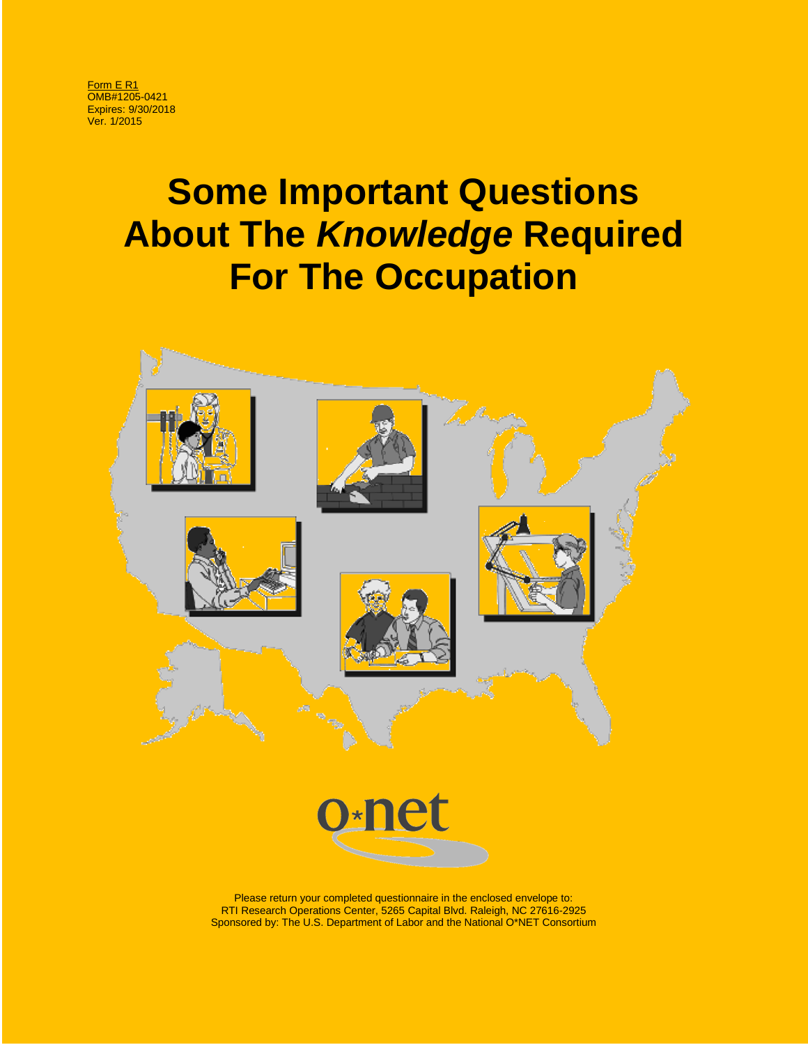Form E R1 OMB#1205-0421 Expires: 9/30/2018 Ver. 1/2015

# **Some Important Questions About The** *Knowledge* **Required For The Occupation**



Sponsored by: The U.S. Department of Labor and the National O\*NET Consortium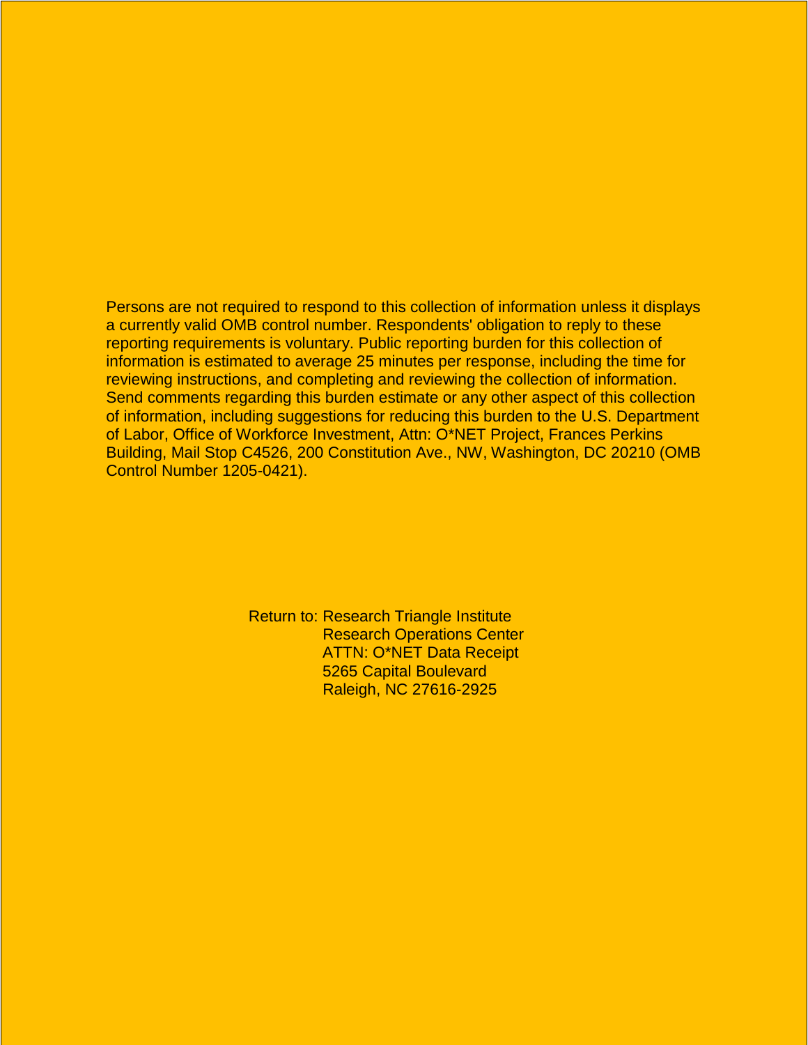Persons are not required to respond to this collection of information unless it displays a currently valid OMB control number. Respondents' obligation to reply to these reporting requirements is voluntary. Public reporting burden for this collection of information is estimated to average 25 minutes per response, including the time for reviewing instructions, and completing and reviewing the collection of information. Send comments regarding this burden estimate or any other aspect of this collection of information, including suggestions for reducing this burden to the U.S. Department of Labor, Office of Workforce Investment, Attn: O\*NET Project, Frances Perkins Building, Mail Stop C4526, 200 Constitution Ave., NW, Washington, DC 20210 (OMB Control Number 1205-0421).

> Return to: Research Triangle Institute Research Operations Center ATTN: O\*NET Data Receipt 5265 Capital Boulevard Raleigh, NC 27616-2925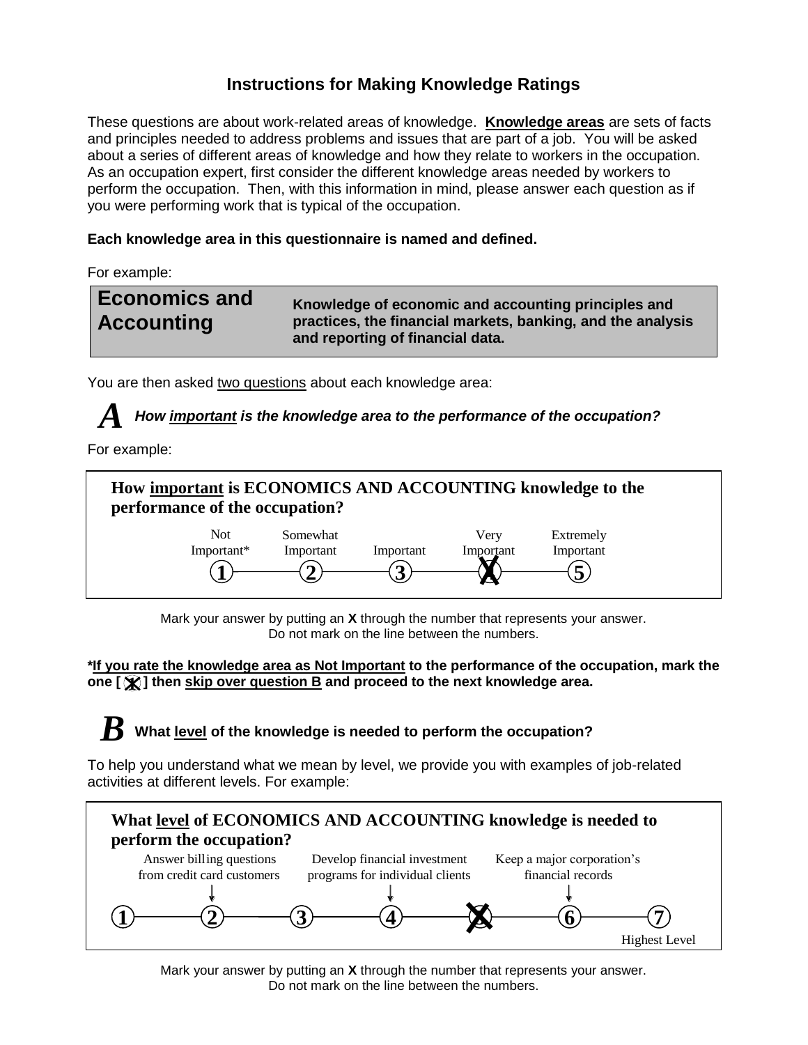## **Instructions for Making Knowledge Ratings**

These questions are about work-related areas of knowledge. **Knowledge areas** are sets of facts and principles needed to address problems and issues that are part of a job. You will be asked about a series of different areas of knowledge and how they relate to workers in the occupation. As an occupation expert, first consider the different knowledge areas needed by workers to perform the occupation. Then, with this information in mind, please answer each question as if you were performing work that is typical of the occupation.

## **Each knowledge area in this questionnaire is named and defined.**

For example:



You are then asked two questions about each knowledge area:

*How important is the knowledge area to the performance of the occupation? A*

For example:



Mark your answer by putting an **X** through the number that represents your answer. Do not mark on the line between the numbers.

**\*If you rate the knowledge area as Not Important to the performance of the occupation, mark the one [ ] then skip over question B and proceed to the next knowledge area. 1**

## **What level of the knowledge is needed to perform the occupation?** *B*

To help you understand what we mean by level, we provide you with examples of job-related activities at different levels. For example:



Mark your answer by putting an **X** through the number that represents your answer. Do not mark on the line between the numbers.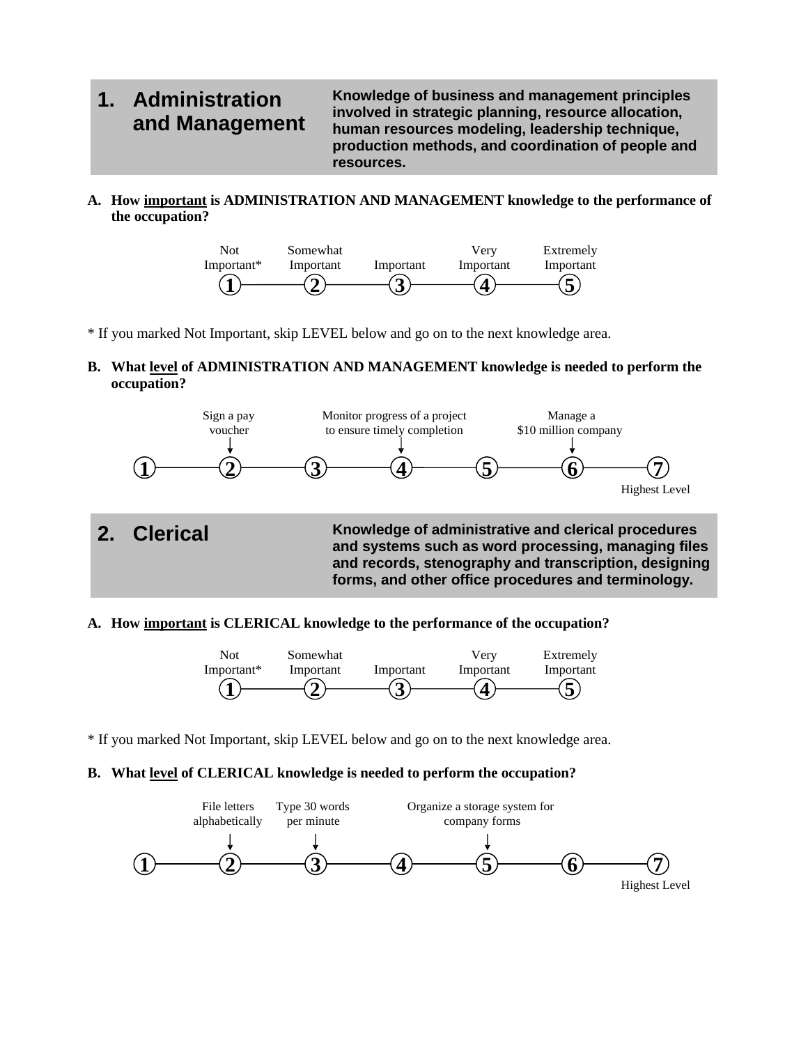## **1. Administration and Management**

**Knowledge of business and management principles involved in strategic planning, resource allocation, human resources modeling, leadership technique, production methods, and coordination of people and resources.**

**A. How important is ADMINISTRATION AND MANAGEMENT knowledge to the performance of the occupation?**



\* If you marked Not Important, skip LEVEL below and go on to the next knowledge area.

**B. What level of ADMINISTRATION AND MANAGEMENT knowledge is needed to perform the occupation?**



### **A. How important is CLERICAL knowledge to the performance of the occupation?**



\* If you marked Not Important, skip LEVEL below and go on to the next knowledge area.

## **B. What level of CLERICAL knowledge is needed to perform the occupation?**

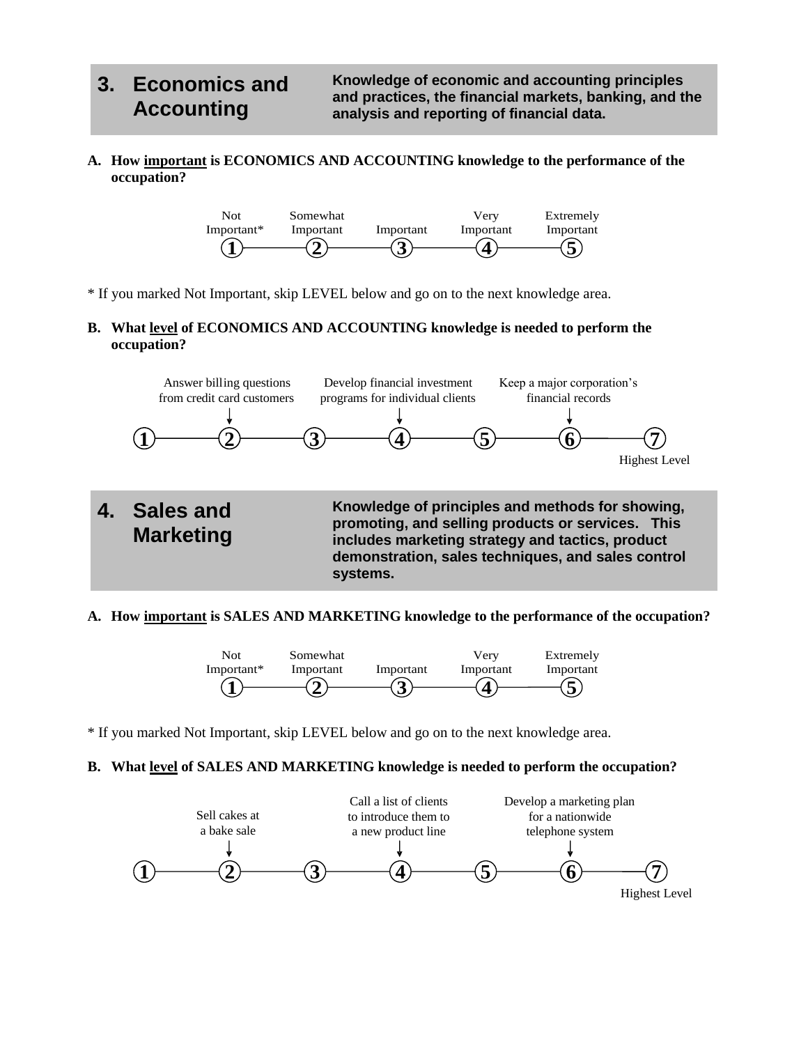## **3. Economics and Accounting**

**Knowledge of economic and accounting principles and practices, the financial markets, banking, and the analysis and reporting of financial data.** 

**A. How important is ECONOMICS AND ACCOUNTING knowledge to the performance of the occupation?**



\* If you marked Not Important, skip LEVEL below and go on to the next knowledge area.

## **B. What level of ECONOMICS AND ACCOUNTING knowledge is needed to perform the occupation?**



### **A. How important is SALES AND MARKETING knowledge to the performance of the occupation?**



\* If you marked Not Important, skip LEVEL below and go on to the next knowledge area.

## **B. What level of SALES AND MARKETING knowledge is needed to perform the occupation?**

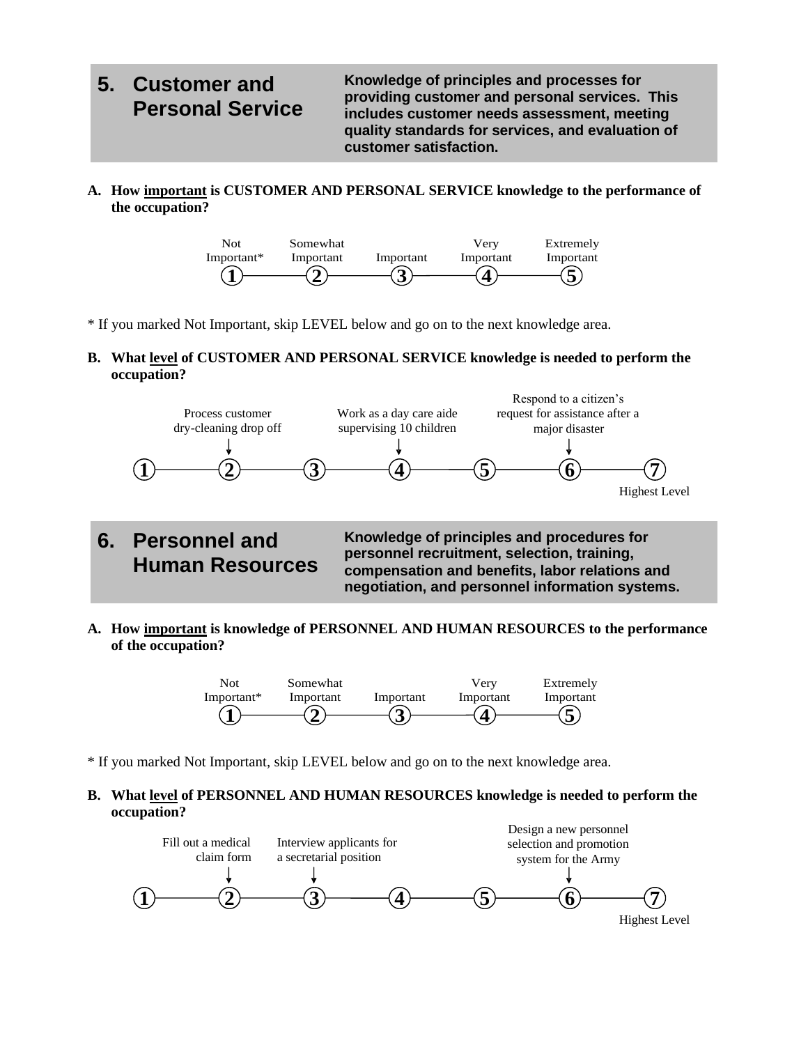## **5. Customer and Personal Service**

**Knowledge of principles and processes for providing customer and personal services. This includes customer needs assessment, meeting quality standards for services, and evaluation of customer satisfaction.**

**A. How important is CUSTOMER AND PERSONAL SERVICE knowledge to the performance of the occupation?**



- \* If you marked Not Important, skip LEVEL below and go on to the next knowledge area.
- **B. What level of CUSTOMER AND PERSONAL SERVICE knowledge is needed to perform the occupation?**



**6. Personnel and Human Resources** **Knowledge of principles and procedures for personnel recruitment, selection, training, compensation and benefits, labor relations and negotiation, and personnel information systems.**

**A. How important is knowledge of PERSONNEL AND HUMAN RESOURCES to the performance of the occupation?**



\* If you marked Not Important, skip LEVEL below and go on to the next knowledge area.

## **B. What level of PERSONNEL AND HUMAN RESOURCES knowledge is needed to perform the occupation?**

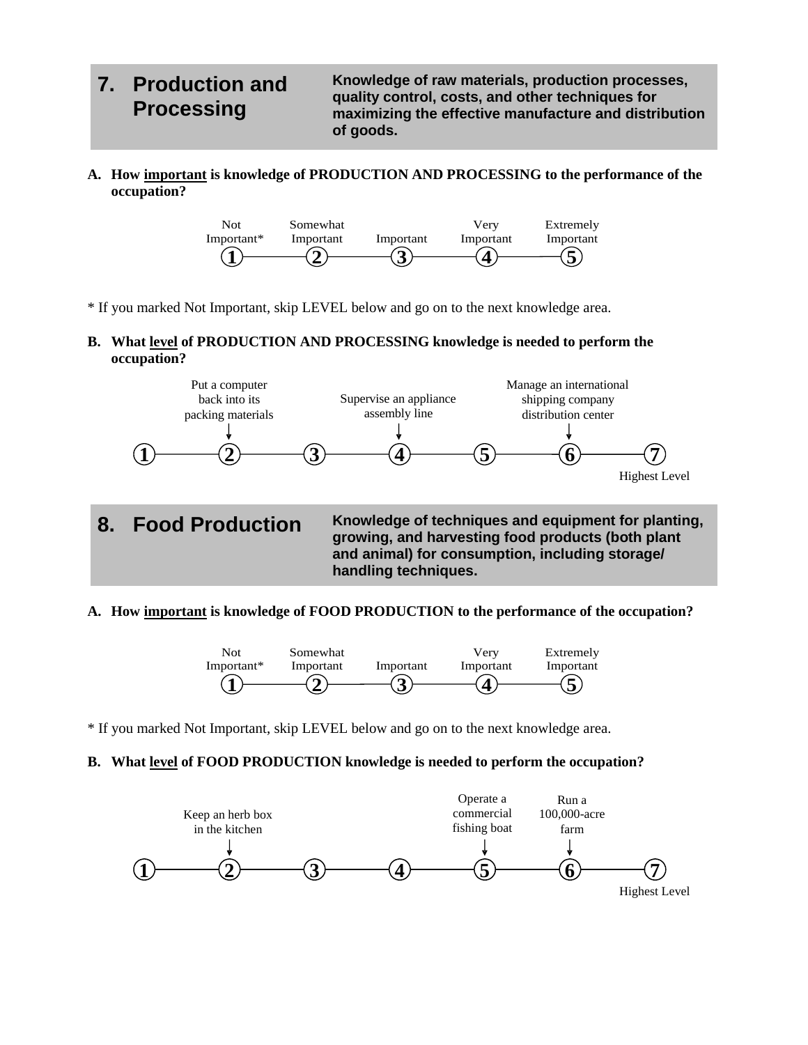## **7. Production and Processing**

**Knowledge of raw materials, production processes, quality control, costs, and other techniques for maximizing the effective manufacture and distribution of goods.**

**A. How important is knowledge of PRODUCTION AND PROCESSING to the performance of the occupation?**



- \* If you marked Not Important, skip LEVEL below and go on to the next knowledge area.
- **B. What level of PRODUCTION AND PROCESSING knowledge is needed to perform the occupation?**



## **handling techniques.**

## **A. How important is knowledge of FOOD PRODUCTION to the performance of the occupation?**



\* If you marked Not Important, skip LEVEL below and go on to the next knowledge area.

## **B. What level of FOOD PRODUCTION knowledge is needed to perform the occupation?**

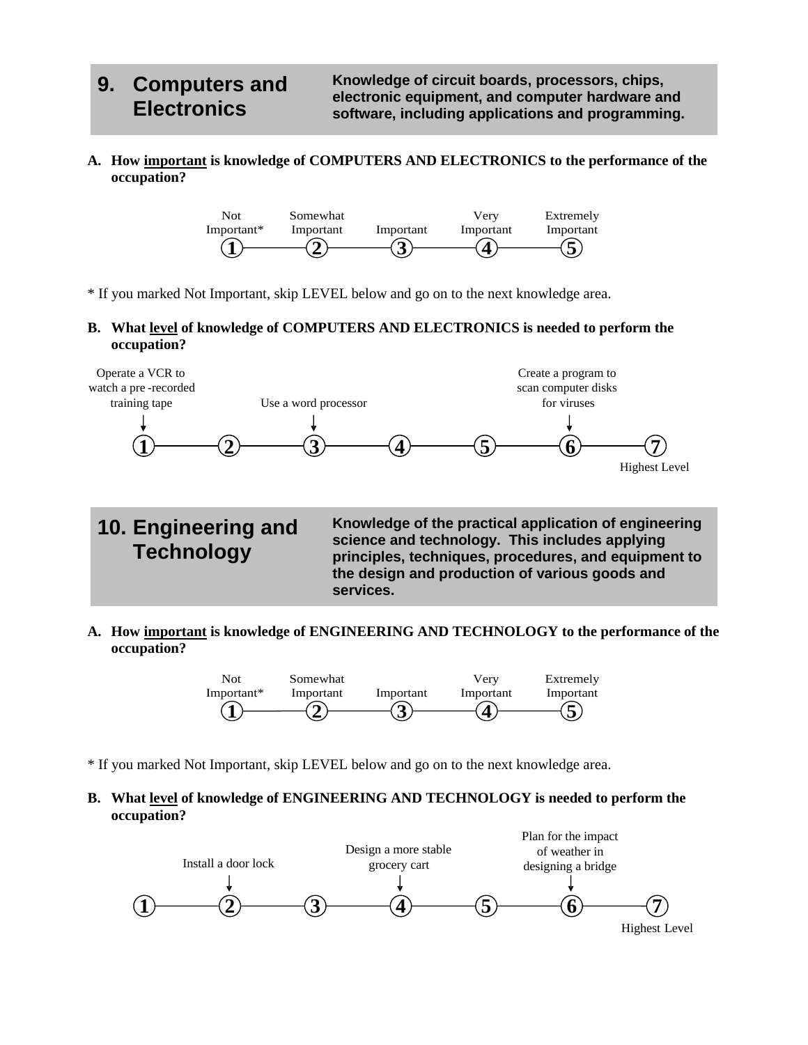## **9. Computers and Electronics**

**Knowledge of circuit boards, processors, chips, electronic equipment, and computer hardware and software, including applications and programming.**

**A. How important is knowledge of COMPUTERS AND ELECTRONICS to the performance of the occupation?**



\* If you marked Not Important, skip LEVEL below and go on to the next knowledge area.

### **B. What level of knowledge of COMPUTERS AND ELECTRONICS is needed to perform the occupation?**



**10. Engineering and Technology**

**Knowledge of the practical application of engineering science and technology. This includes applying principles, techniques, procedures, and equipment to the design and production of various goods and services.**

**A. How important is knowledge of ENGINEERING AND TECHNOLOGY to the performance of the occupation?**



\* If you marked Not Important, skip LEVEL below and go on to the next knowledge area.

**B. What level of knowledge of ENGINEERING AND TECHNOLOGY is needed to perform the occupation?**

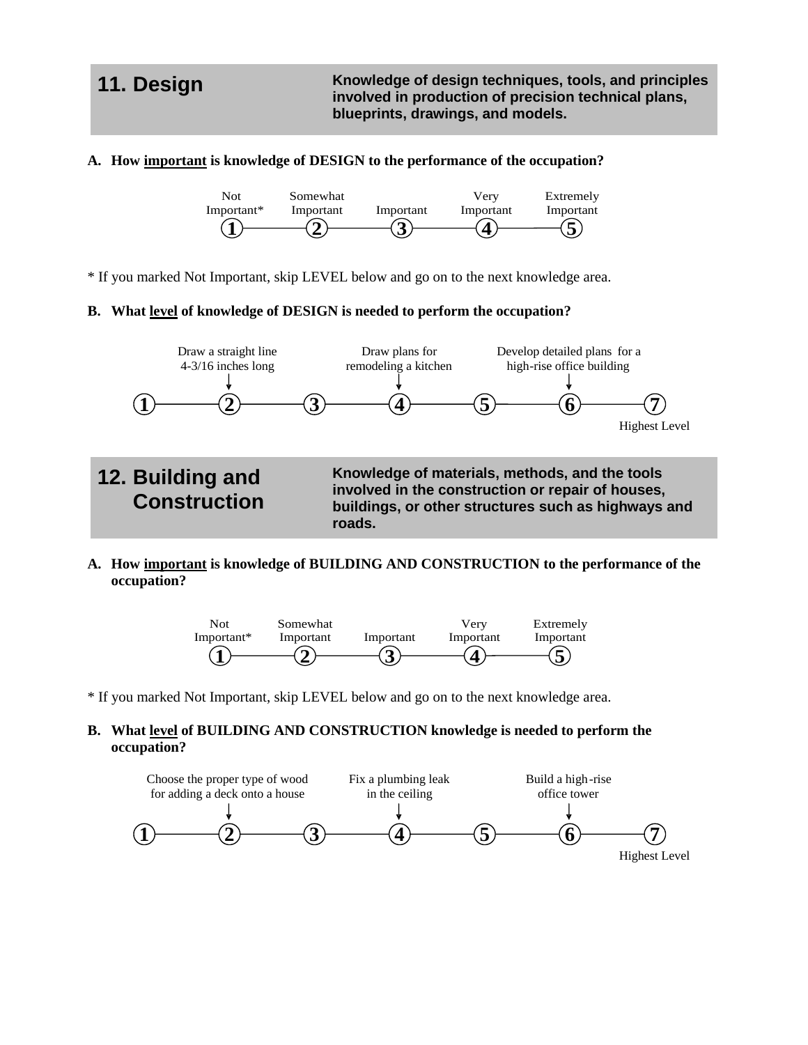**11. Design Knowledge of design techniques, tools, and principles involved in production of precision technical plans, blueprints, drawings, and models.**

## **A. How important is knowledge of DESIGN to the performance of the occupation?**



\* If you marked Not Important, skip LEVEL below and go on to the next knowledge area.

### **B. What level of knowledge of DESIGN is needed to perform the occupation?**



**A. How important is knowledge of BUILDING AND CONSTRUCTION to the performance of the occupation?**



\* If you marked Not Important, skip LEVEL below and go on to the next knowledge area.

## **B. What level of BUILDING AND CONSTRUCTION knowledge is needed to perform the occupation?**

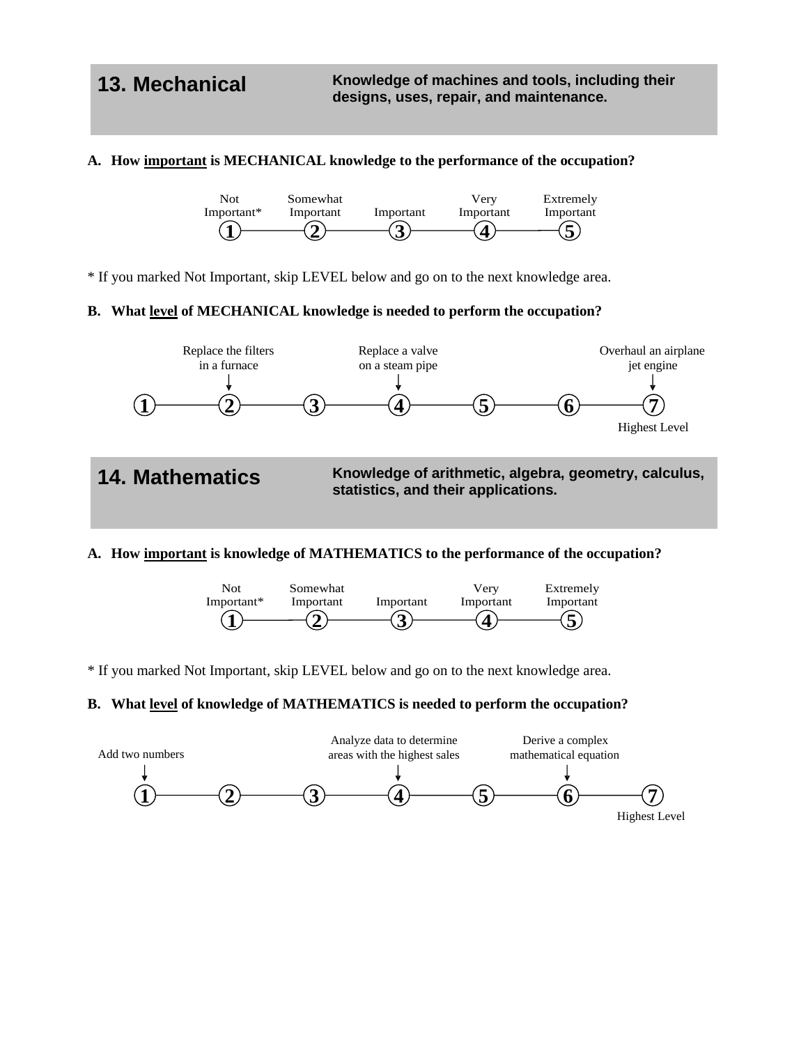## **A. How important is MECHANICAL knowledge to the performance of the occupation?**



\* If you marked Not Important, skip LEVEL below and go on to the next knowledge area.

## **B. What level of MECHANICAL knowledge is needed to perform the occupation?**



## **A. How important is knowledge of MATHEMATICS to the performance of the occupation?**



\* If you marked Not Important, skip LEVEL below and go on to the next knowledge area.

## **B. What level of knowledge of MATHEMATICS is needed to perform the occupation?**

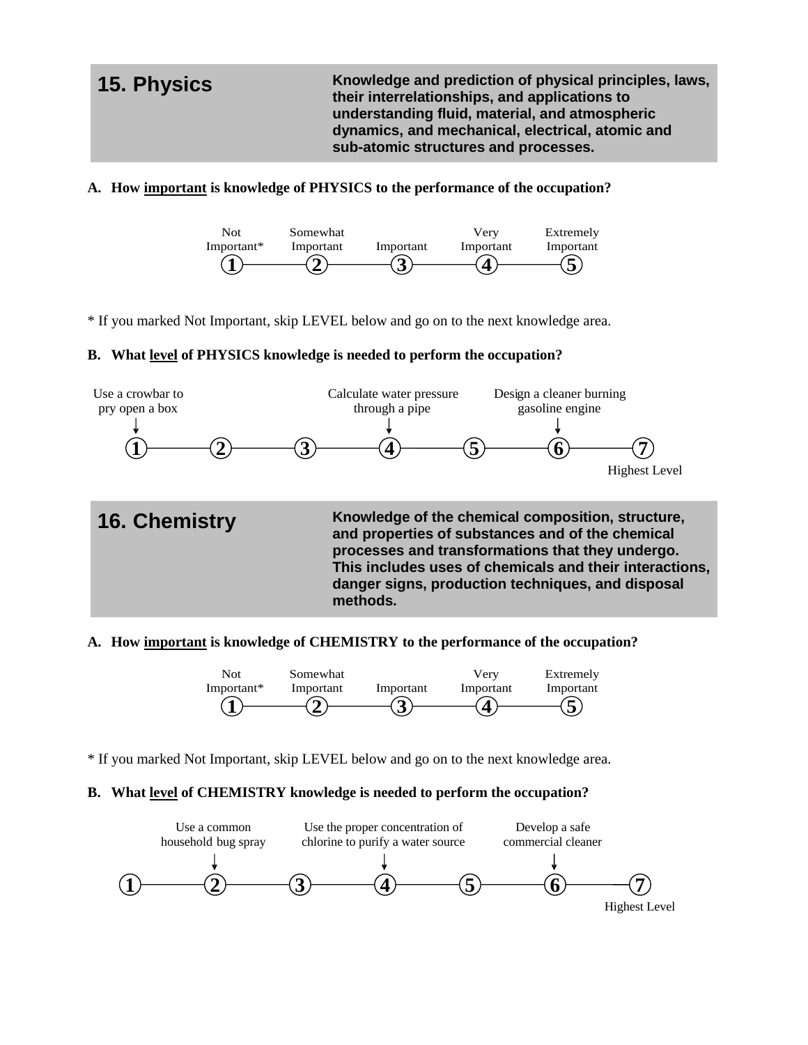**15. Physics Knowledge and prediction of physical principles, laws, their interrelationships, and applications to understanding fluid, material, and atmospheric dynamics, and mechanical, electrical, atomic and sub-atomic structures and processes.**

## **A. How important is knowledge of PHYSICS to the performance of the occupation?**



\* If you marked Not Important, skip LEVEL below and go on to the next knowledge area.

### **B. What level of PHYSICS knowledge is needed to perform the occupation?**



### **A. How important is knowledge of CHEMISTRY to the performance of the occupation?**



\* If you marked Not Important, skip LEVEL below and go on to the next knowledge area.

### **B. What level of CHEMISTRY knowledge is needed to perform the occupation?**

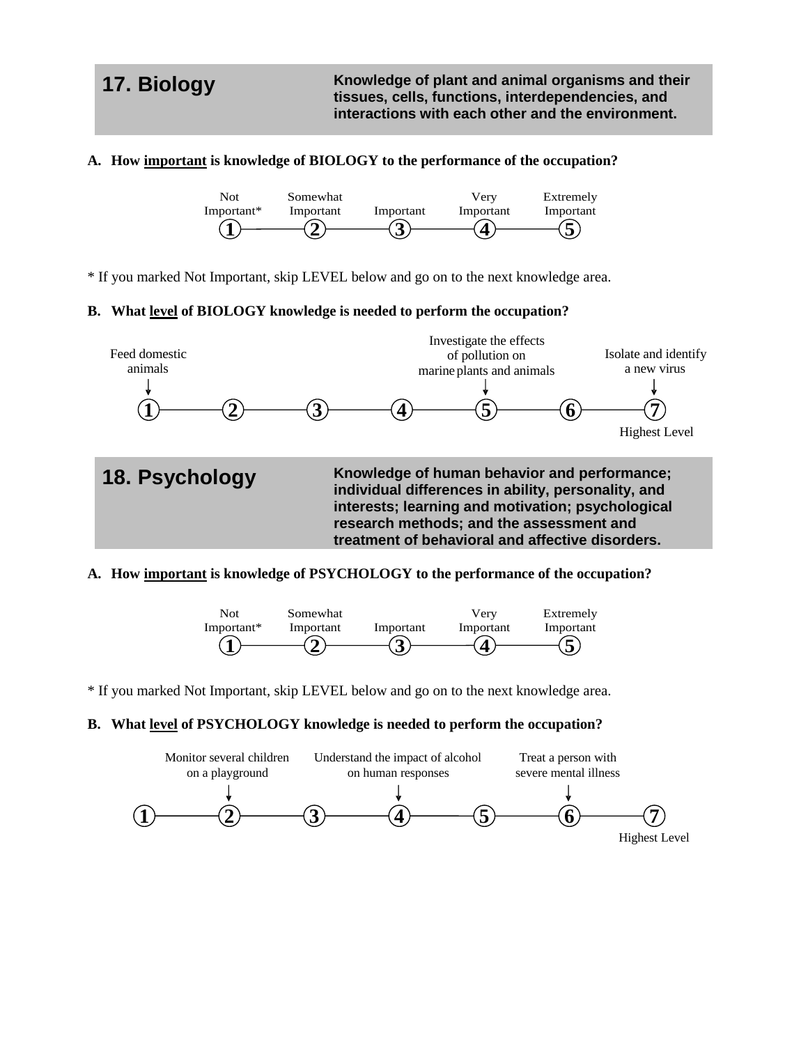**17. Biology Knowledge of plant and animal organisms and their tissues, cells, functions, interdependencies, and interactions with each other and the environment.** 

## **A. How important is knowledge of BIOLOGY to the performance of the occupation?**



\* If you marked Not Important, skip LEVEL below and go on to the next knowledge area.

## **B. What level of BIOLOGY knowledge is needed to perform the occupation?**



## **A. How important is knowledge of PSYCHOLOGY to the performance of the occupation?**



\* If you marked Not Important, skip LEVEL below and go on to the next knowledge area.

### **B. What level of PSYCHOLOGY knowledge is needed to perform the occupation?**

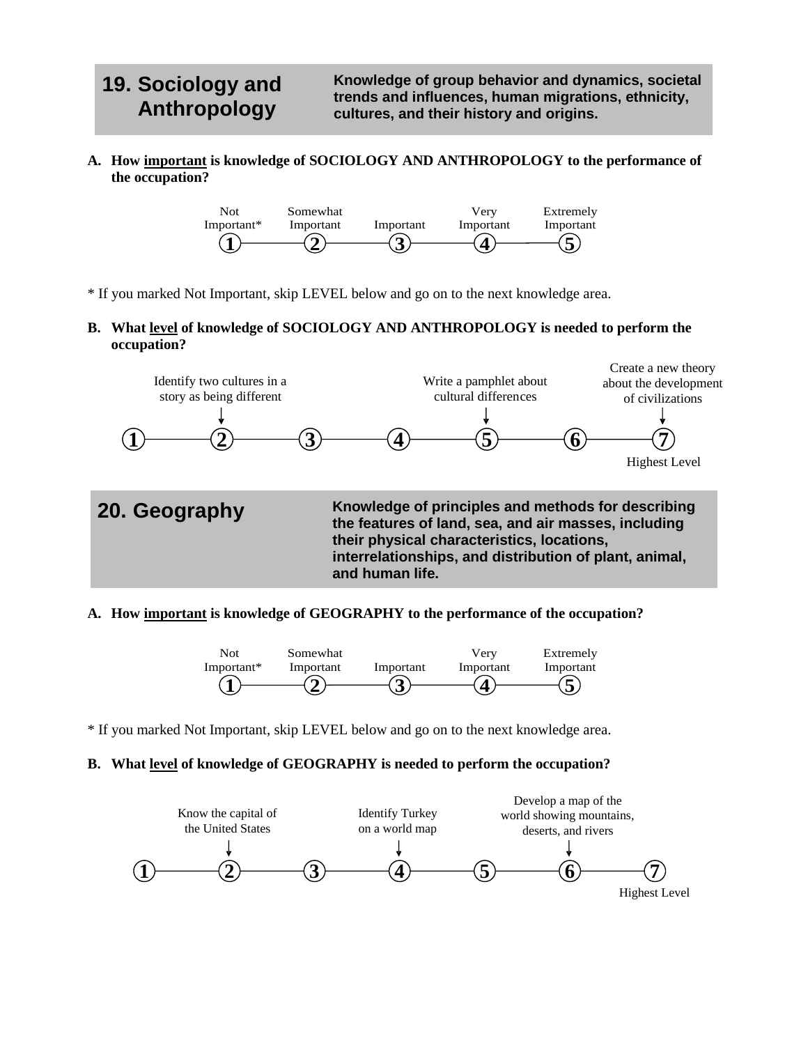## **19. Sociology and Anthropology**

**Knowledge of group behavior and dynamics, societal trends and influences, human migrations, ethnicity, cultures, and their history and origins.**

**A. How important is knowledge of SOCIOLOGY AND ANTHROPOLOGY to the performance of the occupation?**



\* If you marked Not Important, skip LEVEL below and go on to the next knowledge area.

**B. What level of knowledge of SOCIOLOGY AND ANTHROPOLOGY is needed to perform the occupation?**



### **A. How important is knowledge of GEOGRAPHY to the performance of the occupation?**



\* If you marked Not Important, skip LEVEL below and go on to the next knowledge area.

## **B. What level of knowledge of GEOGRAPHY is needed to perform the occupation?**

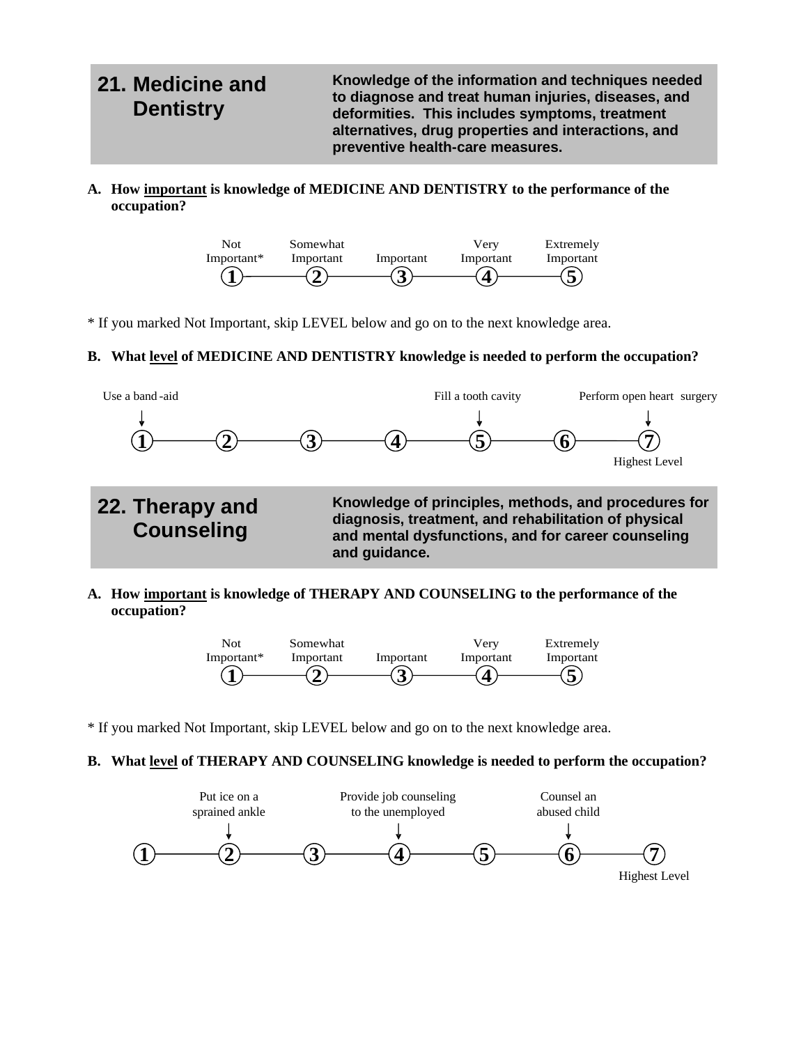### **21. Medicine and Dentistry Knowledge of the information and techniques needed to diagnose and treat human injuries, diseases, and deformities. This includes symptoms, treatment alternatives, drug properties and interactions, and preventive health-care measures.**

**A. How important is knowledge of MEDICINE AND DENTISTRY to the performance of the occupation?**



\* If you marked Not Important, skip LEVEL below and go on to the next knowledge area.

## **B. What level of MEDICINE AND DENTISTRY knowledge is needed to perform the occupation?**



**A. How important is knowledge of THERAPY AND COUNSELING to the performance of the occupation?**



\* If you marked Not Important, skip LEVEL below and go on to the next knowledge area.

**B. What level of THERAPY AND COUNSELING knowledge is needed to perform the occupation?**

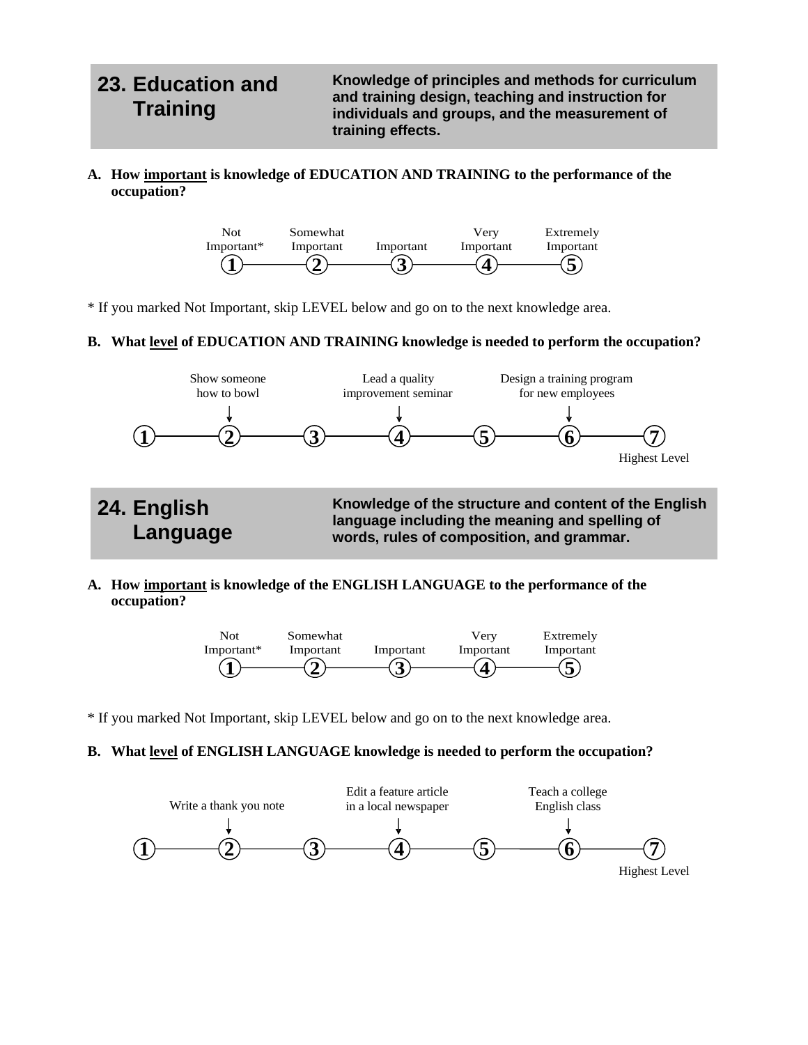## **23. Education and Training**

**Knowledge of principles and methods for curriculum and training design, teaching and instruction for individuals and groups, and the measurement of training effects.**

**A. How important is knowledge of EDUCATION AND TRAINING to the performance of the occupation?**



\* If you marked Not Important, skip LEVEL below and go on to the next knowledge area.

## **B. What level of EDUCATION AND TRAINING knowledge is needed to perform the occupation?**



**A. How important is knowledge of the ENGLISH LANGUAGE to the performance of the occupation?**



\* If you marked Not Important, skip LEVEL below and go on to the next knowledge area.

## **B. What level of ENGLISH LANGUAGE knowledge is needed to perform the occupation?**

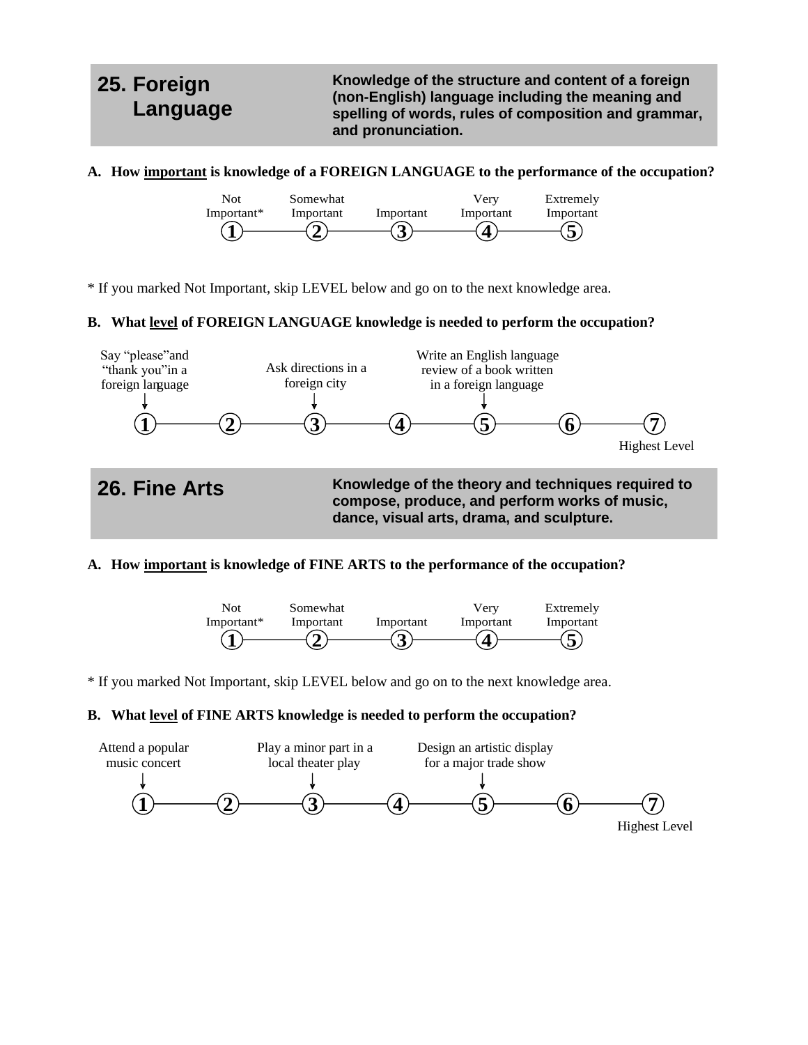## **25. Foreign Language**

**Knowledge of the structure and content of a foreign (non-English) language including the meaning and spelling of words, rules of composition and grammar, and pronunciation.** 

**A. How important is knowledge of a FOREIGN LANGUAGE to the performance of the occupation?**



\* If you marked Not Important, skip LEVEL below and go on to the next knowledge area.

## **B. What level of FOREIGN LANGUAGE knowledge is needed to perform the occupation?**



## **A. How important is knowledge of FINE ARTS to the performance of the occupation?**



\* If you marked Not Important, skip LEVEL below and go on to the next knowledge area.

## **B. What level of FINE ARTS knowledge is needed to perform the occupation?**

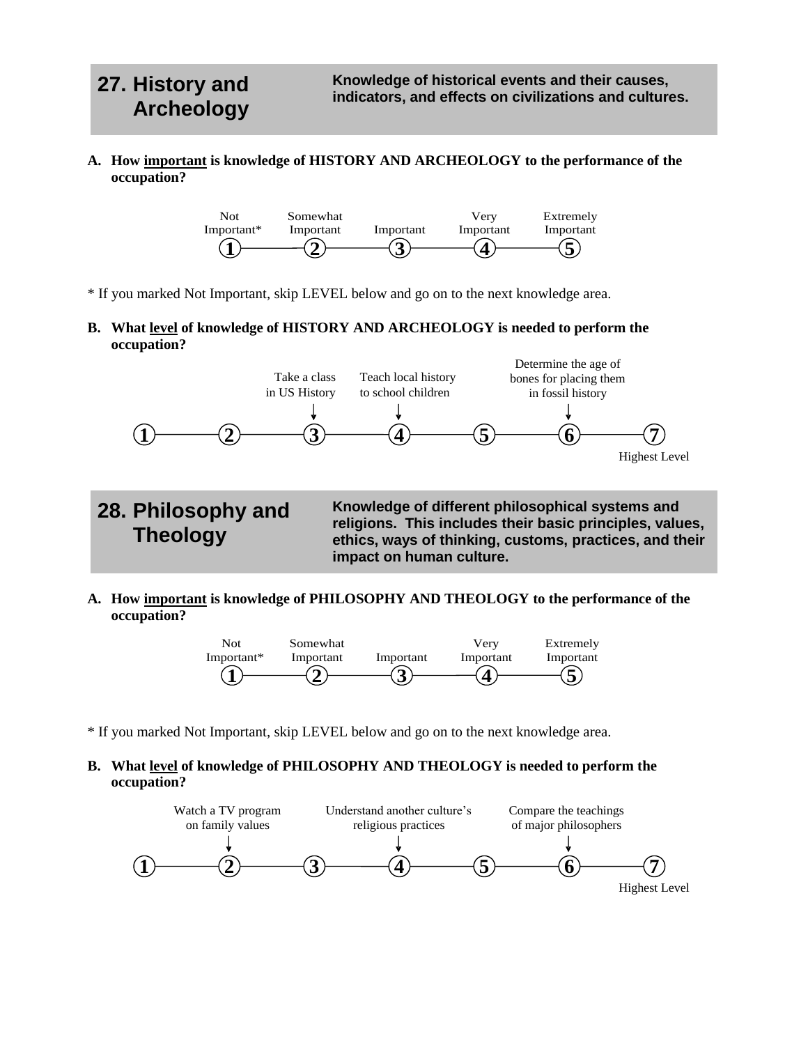**Theology**

**A. How important is knowledge of HISTORY AND ARCHEOLOGY to the performance of the occupation?**



\* If you marked Not Important, skip LEVEL below and go on to the next knowledge area.

**B. What level of knowledge of HISTORY AND ARCHEOLOGY is needed to perform the occupation?**



**Knowledge of different philosophical systems and religions. This includes their basic principles, values, ethics, ways of thinking, customs, practices, and their impact on human culture.**

**A. How important is knowledge of PHILOSOPHY AND THEOLOGY to the performance of the occupation?**



\* If you marked Not Important, skip LEVEL below and go on to the next knowledge area.

## **B. What level of knowledge of PHILOSOPHY AND THEOLOGY is needed to perform the occupation?**

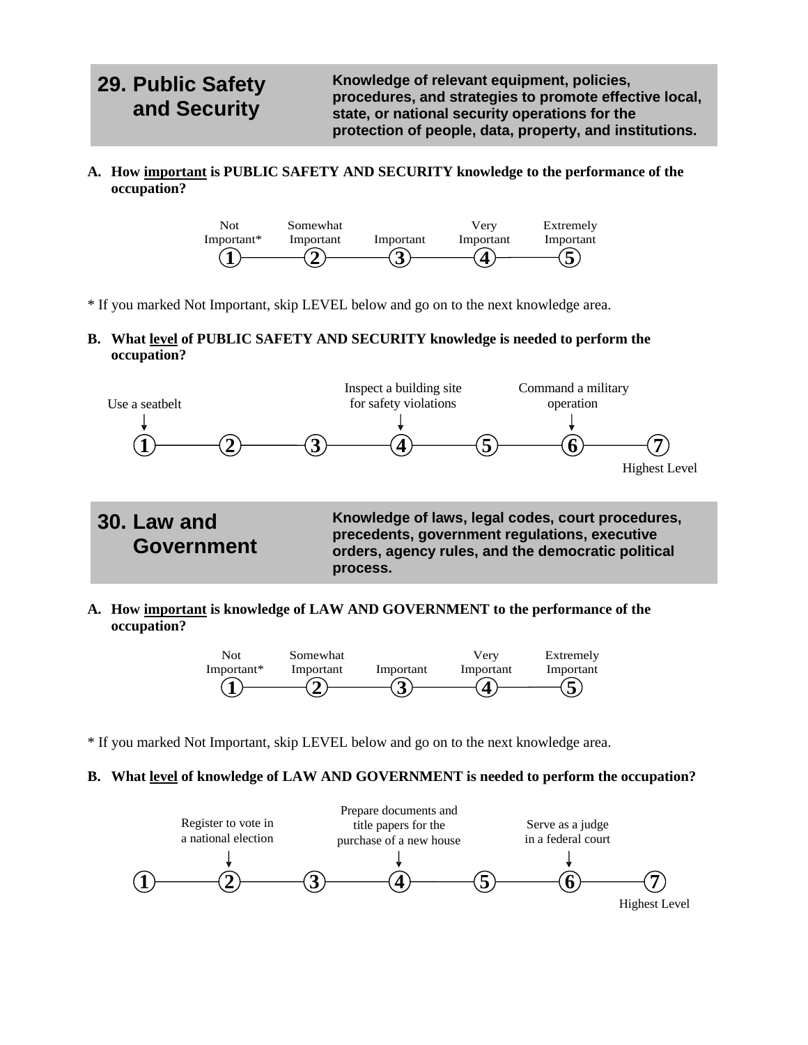## **29. Public Safety and Security**

**Knowledge of relevant equipment, policies, procedures, and strategies to promote effective local, state, or national security operations for the protection of people, data, property, and institutions.**

**A. How important is PUBLIC SAFETY AND SECURITY knowledge to the performance of the occupation?**



\* If you marked Not Important, skip LEVEL below and go on to the next knowledge area.

**B. What level of PUBLIC SAFETY AND SECURITY knowledge is needed to perform the occupation?**



**A. How important is knowledge of LAW AND GOVERNMENT to the performance of the occupation?**



\* If you marked Not Important, skip LEVEL below and go on to the next knowledge area.

## **B. What level of knowledge of LAW AND GOVERNMENT is needed to perform the occupation?**

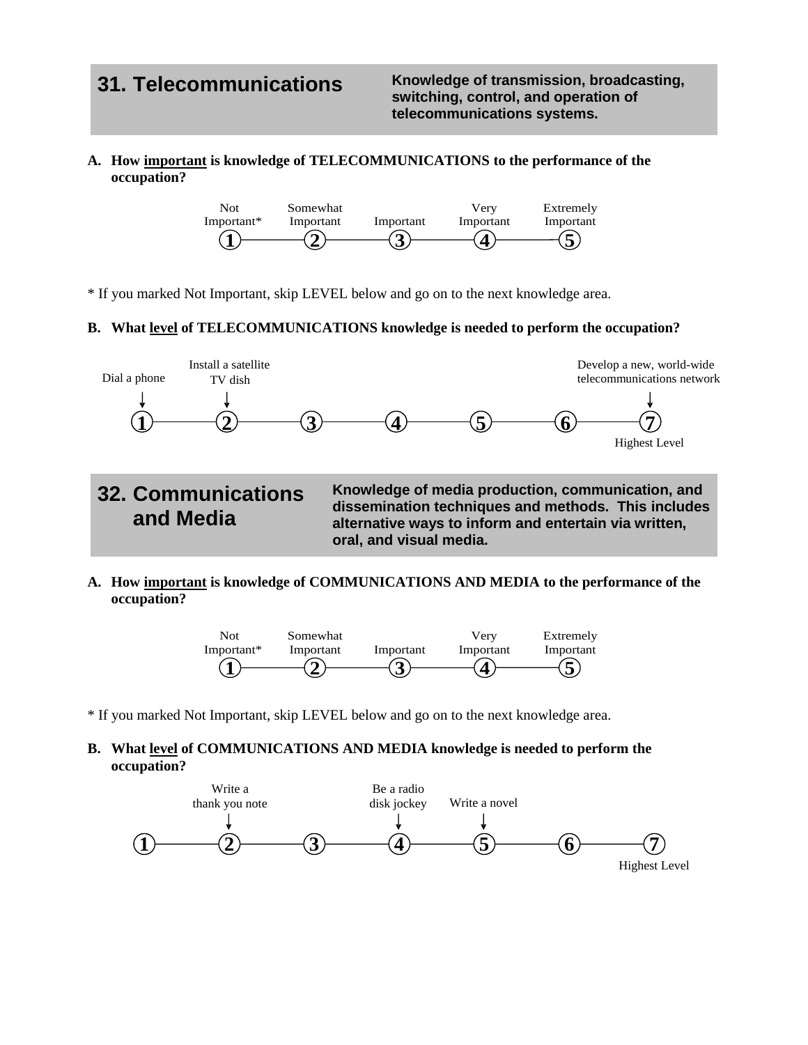**31. Telecommunications Knowledge of transmission, broadcasting, switching, control, and operation of telecommunications systems.**

## **A. How important is knowledge of TELECOMMUNICATIONS to the performance of the occupation?**



\* If you marked Not Important, skip LEVEL below and go on to the next knowledge area.

### **B. What level of TELECOMMUNICATIONS knowledge is needed to perform the occupation?**



**dissemination techniques and methods. This includes alternative ways to inform and entertain via written, oral, and visual media.**

**A. How important is knowledge of COMMUNICATIONS AND MEDIA to the performance of the occupation?**



\* If you marked Not Important, skip LEVEL below and go on to the next knowledge area.

## **B. What level of COMMUNICATIONS AND MEDIA knowledge is needed to perform the occupation?**

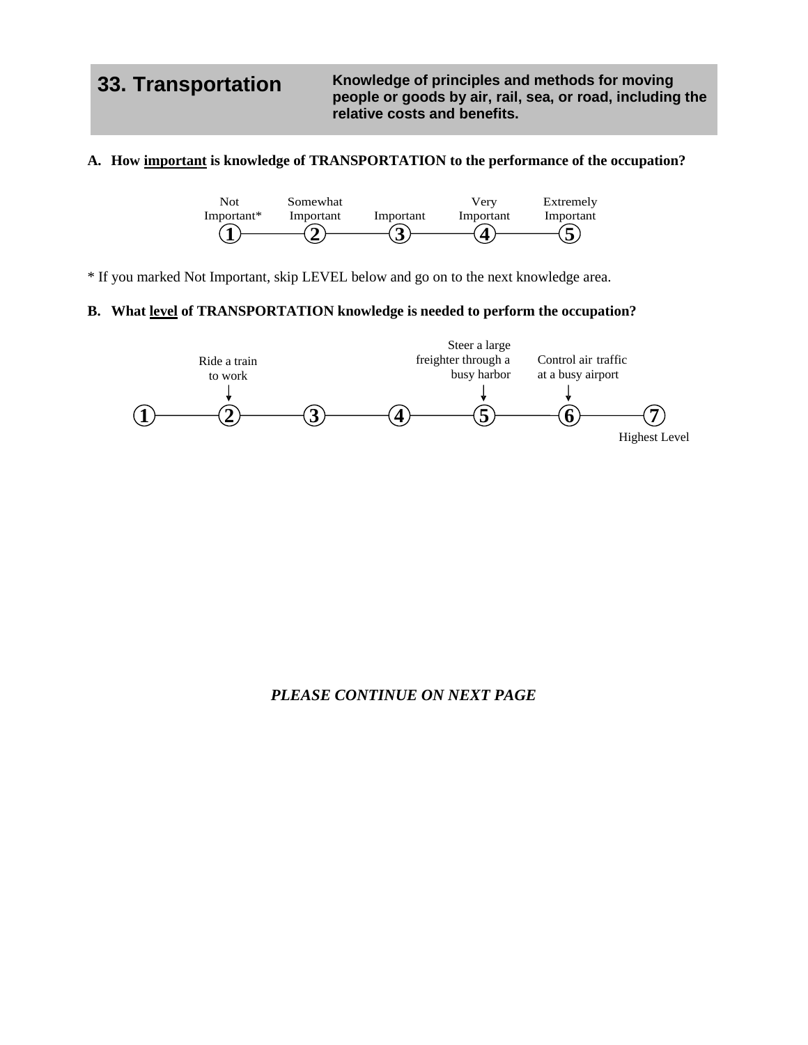**33. Transportation Knowledge of principles and methods for moving people or goods by air, rail, sea, or road, including the relative costs and benefits.**

## **A. How important is knowledge of TRANSPORTATION to the performance of the occupation?**



\* If you marked Not Important, skip LEVEL below and go on to the next knowledge area.

## **B. What level of TRANSPORTATION knowledge is needed to perform the occupation?**



## *PLEASE CONTINUE ON NEXT PAGE*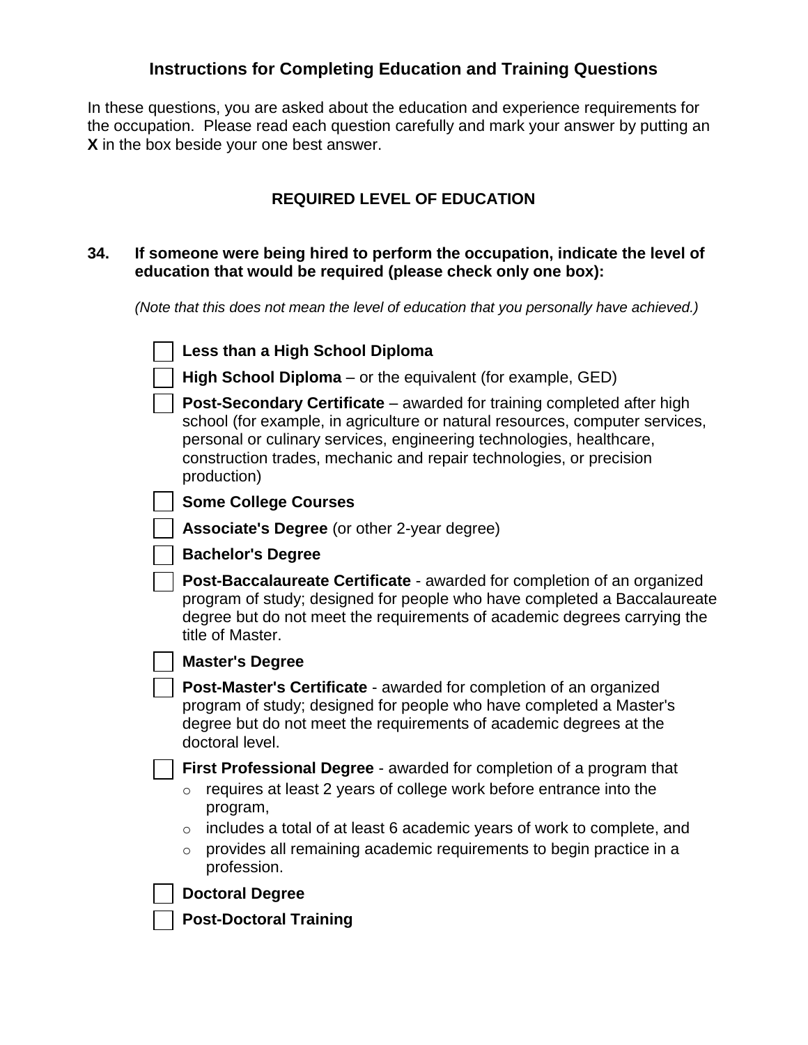## **Instructions for Completing Education and Training Questions**

In these questions, you are asked about the education and experience requirements for the occupation. Please read each question carefully and mark your answer by putting an **X** in the box beside your one best answer.

## **REQUIRED LEVEL OF EDUCATION**

## **34. If someone were being hired to perform the occupation, indicate the level of education that would be required (please check only one box):**

*(Note that this does not mean the level of education that you personally have achieved.)*

| Less than a High School Diploma                                                                                                                                                                                                                                                                                                                                |
|----------------------------------------------------------------------------------------------------------------------------------------------------------------------------------------------------------------------------------------------------------------------------------------------------------------------------------------------------------------|
| High School Diploma – or the equivalent (for example, GED)                                                                                                                                                                                                                                                                                                     |
| Post-Secondary Certificate – awarded for training completed after high<br>school (for example, in agriculture or natural resources, computer services,<br>personal or culinary services, engineering technologies, healthcare,<br>construction trades, mechanic and repair technologies, or precision<br>production)                                           |
| <b>Some College Courses</b>                                                                                                                                                                                                                                                                                                                                    |
| <b>Associate's Degree</b> (or other 2-year degree)                                                                                                                                                                                                                                                                                                             |
| <b>Bachelor's Degree</b>                                                                                                                                                                                                                                                                                                                                       |
| Post-Baccalaureate Certificate - awarded for completion of an organized<br>program of study; designed for people who have completed a Baccalaureate<br>degree but do not meet the requirements of academic degrees carrying the<br>title of Master.                                                                                                            |
| <b>Master's Degree</b>                                                                                                                                                                                                                                                                                                                                         |
| Post-Master's Certificate - awarded for completion of an organized<br>program of study; designed for people who have completed a Master's<br>degree but do not meet the requirements of academic degrees at the<br>doctoral level.                                                                                                                             |
| <b>First Professional Degree - awarded for completion of a program that</b><br>requires at least 2 years of college work before entrance into the<br>$\circ$<br>program,<br>includes a total of at least 6 academic years of work to complete, and<br>$\circ$<br>provides all remaining academic requirements to begin practice in a<br>$\circ$<br>profession. |
| <b>Doctoral Degree</b>                                                                                                                                                                                                                                                                                                                                         |
| <b>Post-Doctoral Training</b>                                                                                                                                                                                                                                                                                                                                  |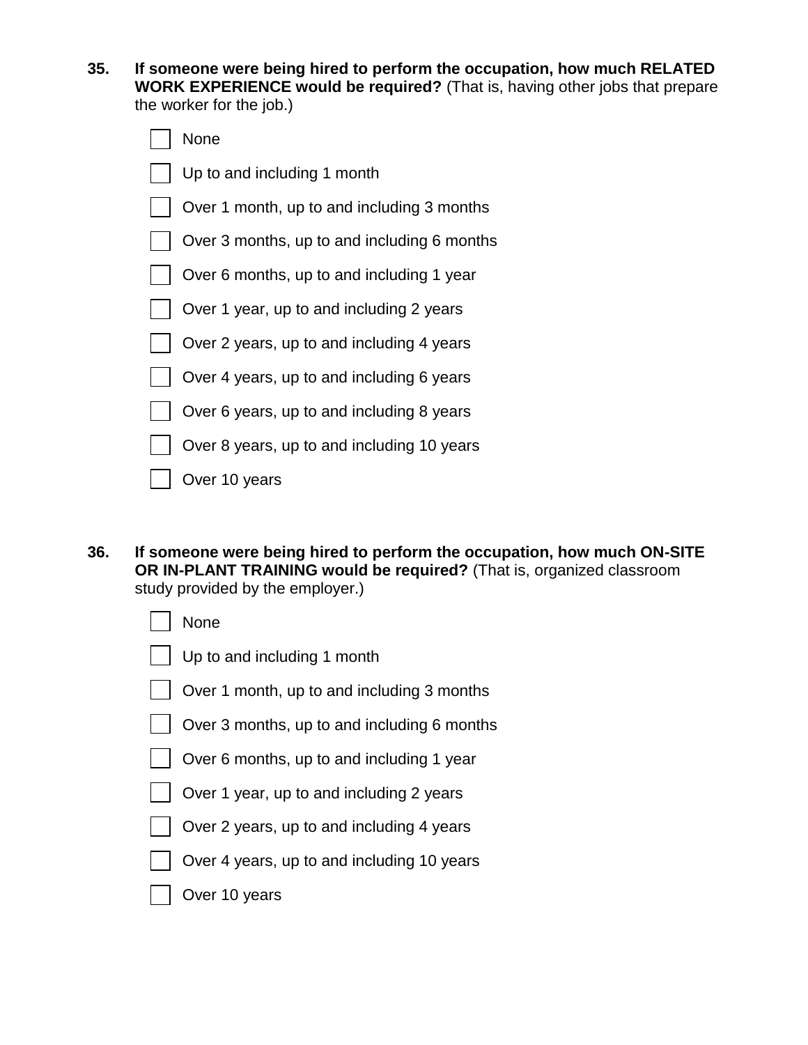**35. If someone were being hired to perform the occupation, how much RELATED WORK EXPERIENCE would be required?** (That is, having other jobs that prepare the worker for the job.)

| None                                        |
|---------------------------------------------|
| Up to and including 1 month                 |
| Over 1 month, up to and including 3 months  |
| Over 3 months, up to and including 6 months |
| Over 6 months, up to and including 1 year   |
| Over 1 year, up to and including 2 years    |
| Over 2 years, up to and including 4 years   |
| Over 4 years, up to and including 6 years   |
| Over 6 years, up to and including 8 years   |
| Over 8 years, up to and including 10 years  |
| Over 10 years                               |

**36. If someone were being hired to perform the occupation, how much ON-SITE OR IN-PLANT TRAINING would be required?** (That is, organized classroom study provided by the employer.)

| None |  |
|------|--|
|------|--|

- Up to and including 1 month
- Over 1 month, up to and including 3 months
- Over 3 months, up to and including 6 months
- Over 6 months, up to and including 1 year
- Over 1 year, up to and including 2 years
- Over 2 years, up to and including 4 years
- Over 4 years, up to and including 10 years
- Over 10 years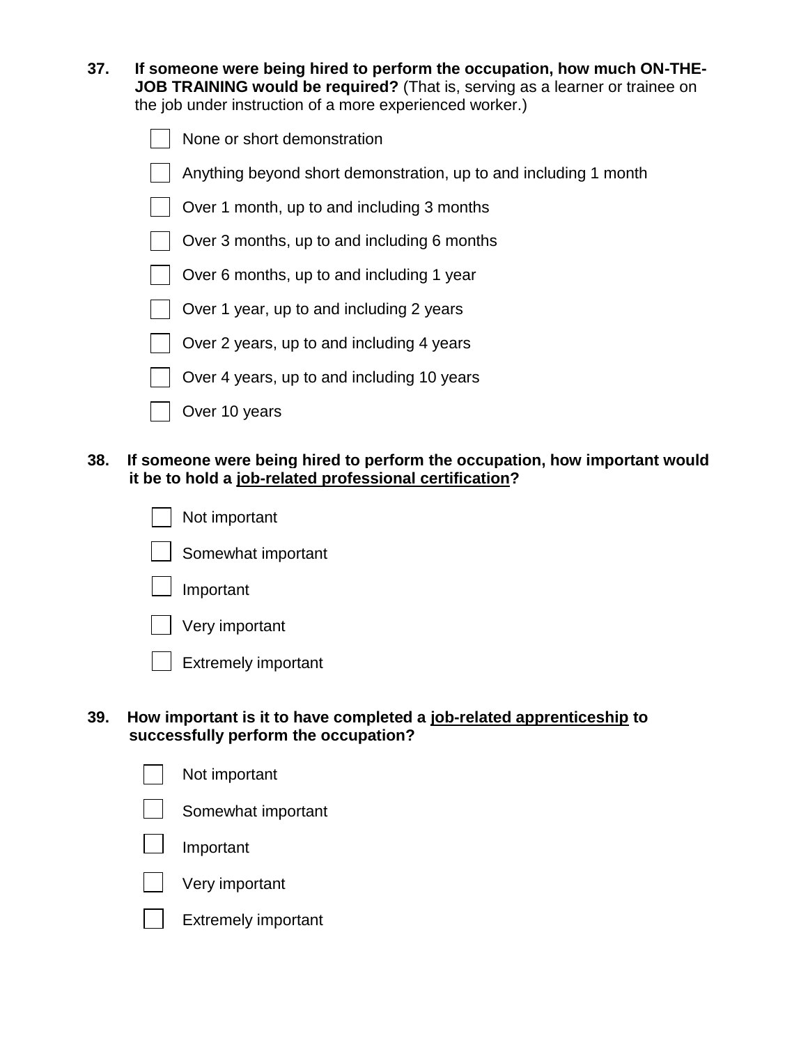| 37. | If someone were being hired to perform the occupation, how much ON-THE-      |
|-----|------------------------------------------------------------------------------|
|     | JOB TRAINING would be required? (That is, serving as a learner or trainee on |
|     | the job under instruction of a more experienced worker.)                     |

| $\Box$ None or short demonstration |  |
|------------------------------------|--|
|------------------------------------|--|

Anything beyond short demonstration, up to and including 1 month

Over 1 month, up to and including 3 months

- Over 3 months, up to and including 6 months
- Over 6 months, up to and including 1 year
- Over 1 year, up to and including 2 years
- Over 2 years, up to and including 4 years
- Over 4 years, up to and including 10 years
- Over 10 years

## **38. If someone were being hired to perform the occupation, how important would it be to hold a job-related professional certification?**

- Not important Somewhat important Important
	- Very important
	- Extremely important

## **39. How important is it to have completed a job-related apprenticeship to successfully perform the occupation?**

| Not important      |
|--------------------|
| Somewhat important |
| $\Box$ Important   |
| Very important     |
|                    |

Extremely important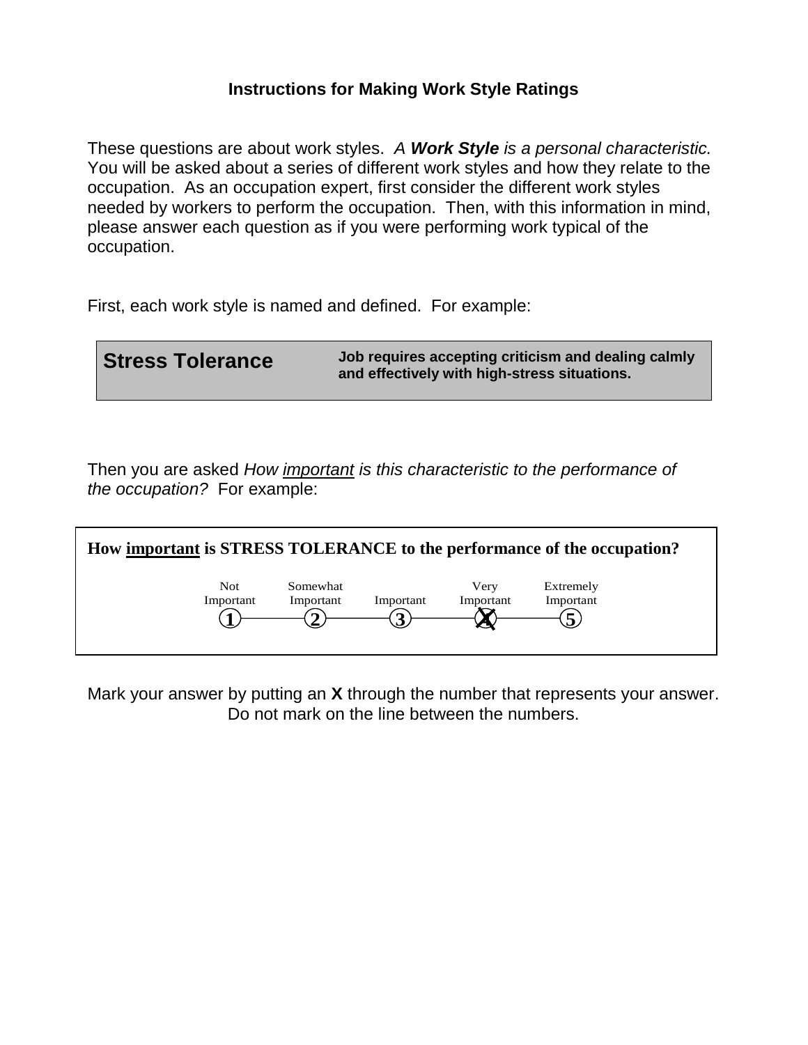## **Instructions for Making Work Style Ratings**

These questions are about work styles. *A Work Style is a personal characteristic.* You will be asked about a series of different work styles and how they relate to the occupation. As an occupation expert, first consider the different work styles needed by workers to perform the occupation. Then, with this information in mind, please answer each question as if you were performing work typical of the occupation.

First, each work style is named and defined. For example:

**Stress Tolerance** Job requires accepting criticism and dealing calmly **and effectively with high-stress situations.** 

Then you are asked *How important is this characteristic to the performance of the occupation?* For example:



Mark your answer by putting an **X** through the number that represents your answer. Do not mark on the line between the numbers.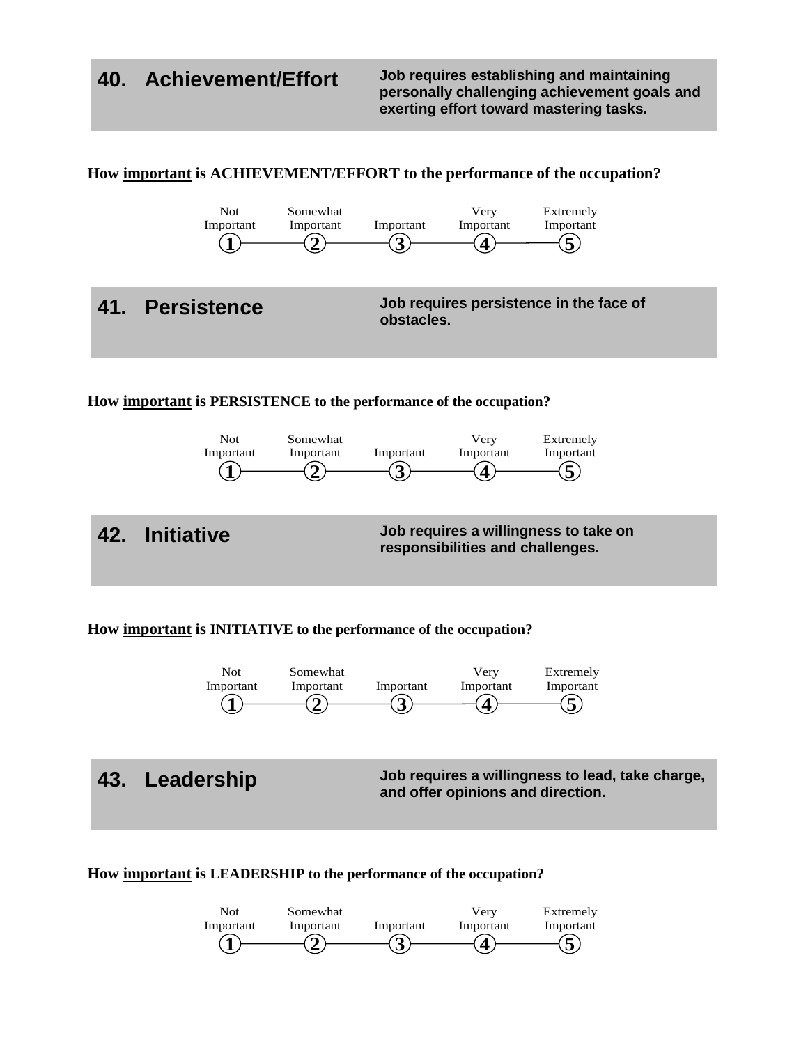**40. Achievement/Effort Job requires establishing and maintaining personally challenging achievement goals and exerting effort toward mastering tasks.** 



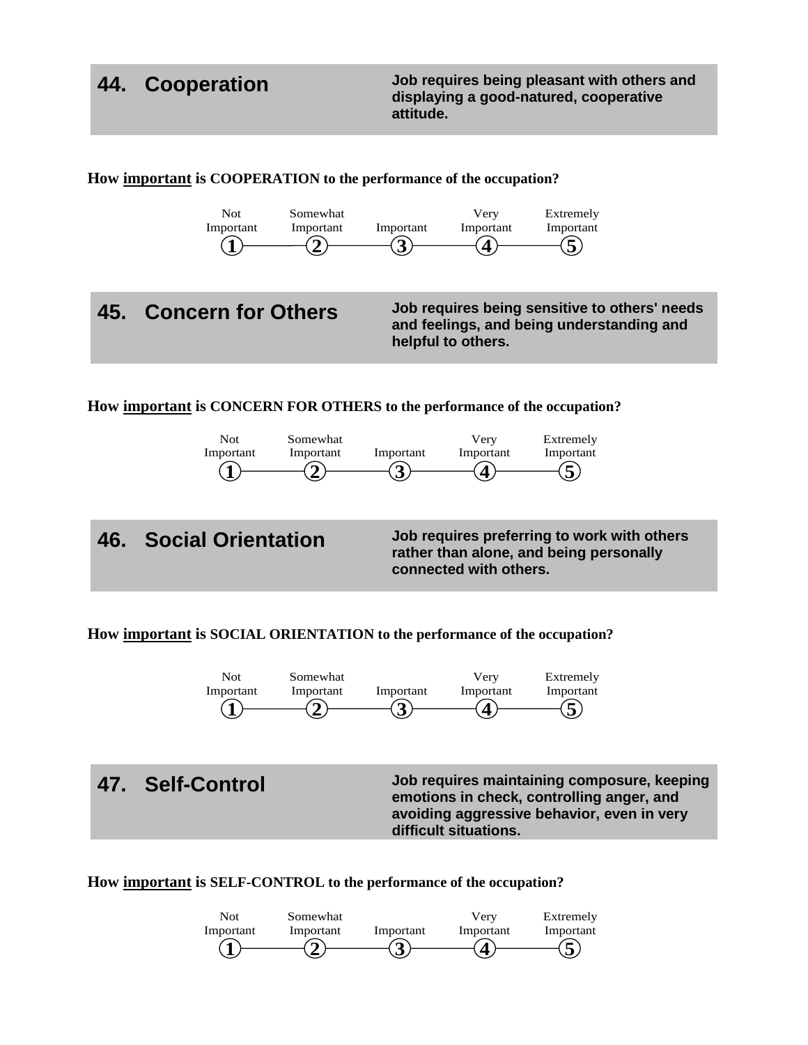**44. Cooperation Job requires being pleasant with others and displaying a good-natured, cooperative attitude.** 



**How important is SOCIAL ORIENTATION to the performance of the occupation?**



**47. Self-Control Job requires maintaining composure, keeping emotions in check, controlling anger, and avoiding aggressive behavior, even in very difficult situations.** 

**How important is SELF-CONTROL to the performance of the occupation?**

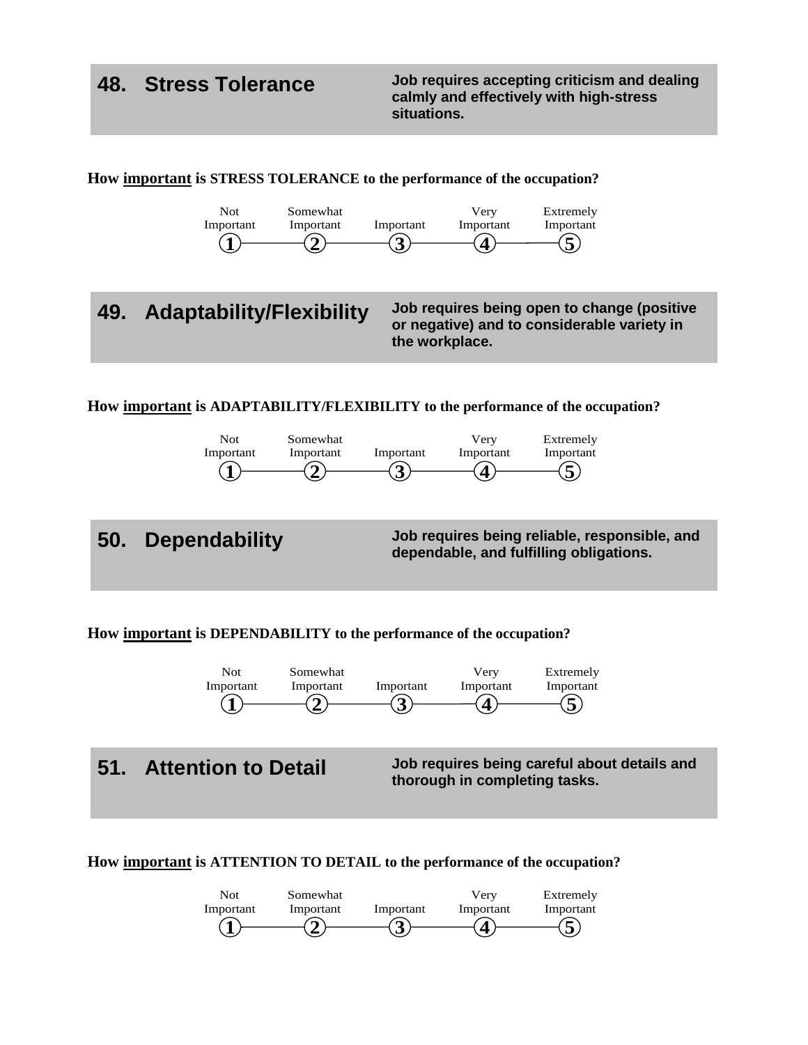**48. Stress Tolerance Job requires accepting criticism and dealing calmly and effectively with high-stress situations.**